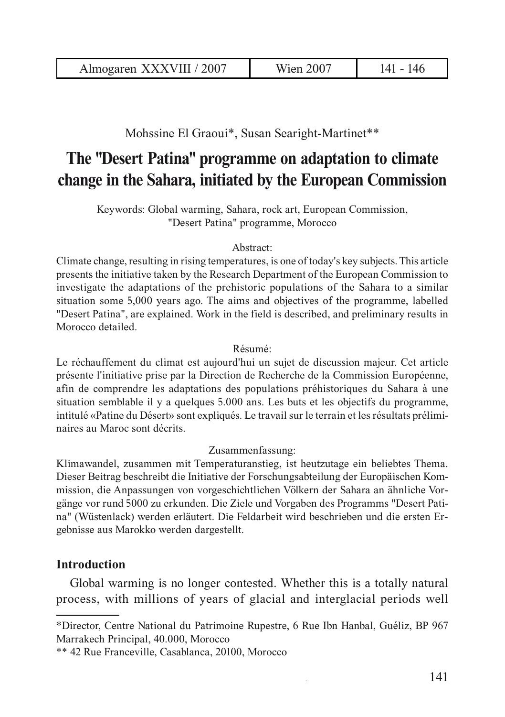Mohssine El Graoui\*, Susan Searight-Martinet\*\*

# **The "Desert Patina" programme on adaptation to climate change in the Sahara, initiated by the European Commission**

Keywords: Global warming, Sahara, rock art, European Commission, "Desert Patina" programme, Morocco

#### Abstract:

Climate change, resulting in rising temperatures, is one of today's key subjects. This article presents the initiative taken by the Research Department of the European Commission to investigate the adaptations of the prehistoric populations of the Sahara to a similar situation some 5,000 years ago. The aims and objectives of the programme, labelled "Desert Patina", are explained. Work in the field is described, and preliminary results in Morocco detailed.

#### Résumé:

Le réchauffement du climat est aujourd'hui un sujet de discussion majeur. Cet article présente l'initiative prise par la Direction de Recherche de la Commission Européenne, afin de comprendre les adaptations des populations préhistoriques du Sahara à une situation semblable il y a quelques 5.000 ans. Les buts et les objectifs du programme, intitulé «Patine du Désert» sont expliqués. Le travail sur le terrain et les résultats préliminaires au Maroc sont décrits.

#### Zusammenfassung:

Klimawandel, zusammen mit Temperaturanstieg, ist heutzutage ein beliebtes Thema. Dieser Beitrag beschreibt die Initiative der Forschungsabteilung der Europäischen Kommission, die Anpassungen von vorgeschichtlichen Völkern der Sahara an ähnliche Vorgänge vor rund 5000 zu erkunden. Die Ziele und Vorgaben des Programms "Desert Patina" (Wüstenlack) werden erläutert. Die Feldarbeit wird beschrieben und die ersten Ergebnisse aus Marokko werden dargestellt.

## **Introduction**

Global warming is no longer contested. Whether this is a totally natural process, with millions of years of glacial and interglacial periods well

<sup>\*</sup>Director, Centre National du Patrimoine Rupestre, 6 Rue Ibn Hanbal, Guéliz, BP 967 Marrakech Principal, 40.000, Morocco

<sup>\*\* 42</sup> Rue Franceville, Casablanca, 20100, Morocco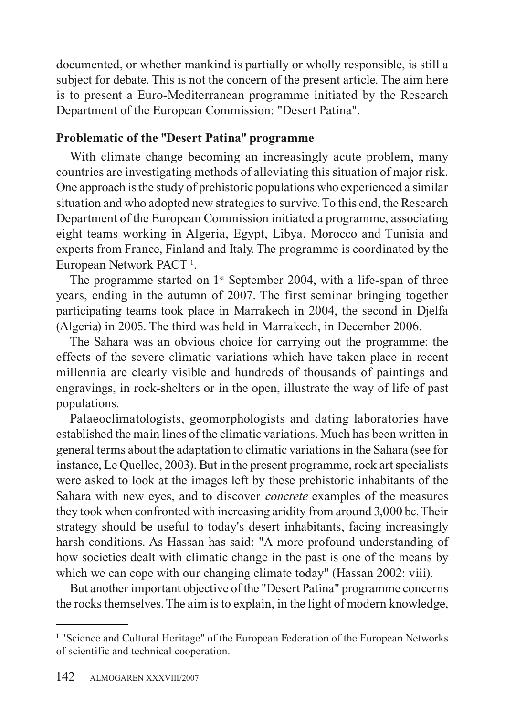documented, or whether mankind is partially or wholly responsible, is still a subject for debate. This is not the concern of the present article. The aim here is to present a Euro-Mediterranean programme initiated by the Research Department of the European Commission: "Desert Patina".

# **Problematic of the "Desert Patina" programme**

With climate change becoming an increasingly acute problem, many countries are investigating methods of alleviating this situation of major risk. One approach is the study of prehistoric populations who experienced a similar situation and who adopted new strategies to survive. To this end, the Research Department of the European Commission initiated a programme, associating eight teams working in Algeria, Egypt, Libya, Morocco and Tunisia and experts from France, Finland and Italy. The programme is coordinated by the European Network PACT<sup>1</sup>.

The programme started on 1<sup>st</sup> September 2004, with a life-span of three years, ending in the autumn of 2007. The first seminar bringing together participating teams took place in Marrakech in 2004, the second in Djelfa (Algeria) in 2005. The third was held in Marrakech, in December 2006.

The Sahara was an obvious choice for carrying out the programme: the effects of the severe climatic variations which have taken place in recent millennia are clearly visible and hundreds of thousands of paintings and engravings, in rock-shelters or in the open, illustrate the way of life of past populations.

Palaeoclimatologists, geomorphologists and dating laboratories have established the main lines of the climatic variations. Much has been written in general terms about the adaptation to climatic variations in the Sahara (see for instance, Le Quellec, 2003). But in the present programme, rock art specialists were asked to look at the images left by these prehistoric inhabitants of the Sahara with new eyes, and to discover *concrete* examples of the measures they took when confronted with increasing aridity from around 3,000 bc. Their strategy should be useful to today's desert inhabitants, facing increasingly harsh conditions. As Hassan has said: "A more profound understanding of how societies dealt with climatic change in the past is one of the means by which we can cope with our changing climate today" (Hassan 2002: viii).

But another important objective of the "Desert Patina" programme concerns the rocks themselves. The aim is to explain, in the light of modern knowledge,

<sup>&</sup>lt;sup>1</sup> "Science and Cultural Heritage" of the European Federation of the European Networks of scientific and technical cooperation.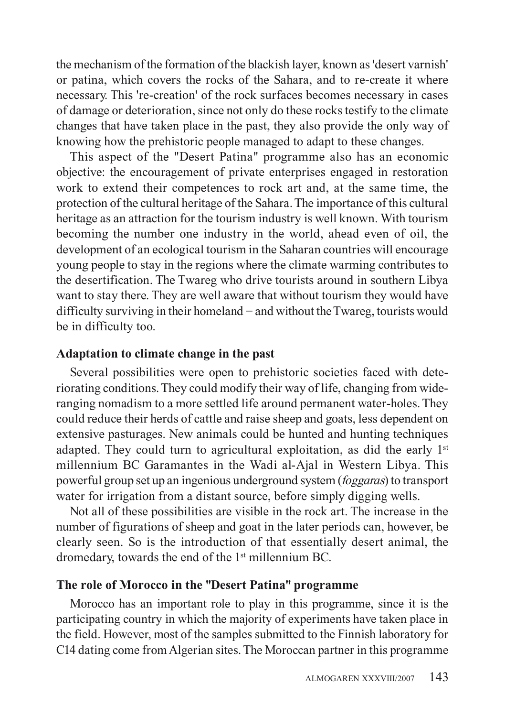the mechanism of the formation of the blackish layer, known as 'desert varnish' or patina, which covers the rocks of the Sahara, and to re-create it where necessary. This 're-creation' of the rock surfaces becomes necessary in cases of damage or deterioration, since not only do these rocks testify to the climate changes that have taken place in the past, they also provide the only way of knowing how the prehistoric people managed to adapt to these changes.

This aspect of the "Desert Patina" programme also has an economic objective: the encouragement of private enterprises engaged in restoration work to extend their competences to rock art and, at the same time, the protection of the cultural heritage of the Sahara. The importance of this cultural heritage as an attraction for the tourism industry is well known. With tourism becoming the number one industry in the world, ahead even of oil, the development of an ecological tourism in the Saharan countries will encourage young people to stay in the regions where the climate warming contributes to the desertification. The Twareg who drive tourists around in southern Libya want to stay there. They are well aware that without tourism they would have difficulty surviving in their homeland – and without the Twareg, tourists would be in difficulty too.

#### **Adaptation to climate change in the past**

Several possibilities were open to prehistoric societies faced with deteriorating conditions. They could modify their way of life, changing from wideranging nomadism to a more settled life around permanent water-holes. They could reduce their herds of cattle and raise sheep and goats, less dependent on extensive pasturages. New animals could be hunted and hunting techniques adapted. They could turn to agricultural exploitation, as did the early  $1<sup>st</sup>$ millennium BC Garamantes in the Wadi al-Ajal in Western Libya. This powerful group set up an ingenious underground system (*foggaras*) to transport water for irrigation from a distant source, before simply digging wells.

Not all of these possibilities are visible in the rock art. The increase in the number of figurations of sheep and goat in the later periods can, however, be clearly seen. So is the introduction of that essentially desert animal, the dromedary, towards the end of the 1<sup>st</sup> millennium BC.

## **The role of Morocco in the "Desert Patina" programme**

Morocco has an important role to play in this programme, since it is the participating country in which the majority of experiments have taken place in the field. However, most of the samples submitted to the Finnish laboratory for C14 dating come from Algerian sites. The Moroccan partner in this programme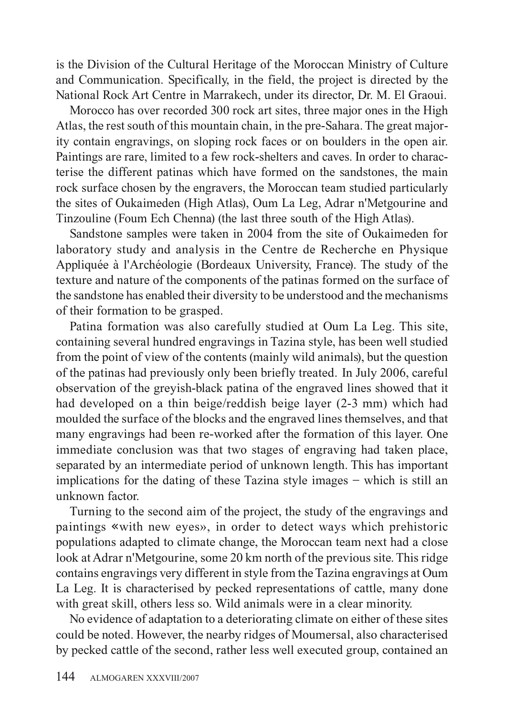is the Division of the Cultural Heritage of the Moroccan Ministry of Culture and Communication. Specifically, in the field, the project is directed by the National Rock Art Centre in Marrakech, under its director, Dr. M. El Graoui.

Morocco has over recorded 300 rock art sites, three major ones in the High Atlas, the rest south of this mountain chain, in the pre-Sahara. The great majority contain engravings, on sloping rock faces or on boulders in the open air. Paintings are rare, limited to a few rock-shelters and caves. In order to characterise the different patinas which have formed on the sandstones, the main rock surface chosen by the engravers, the Moroccan team studied particularly the sites of Oukaimeden (High Atlas), Oum La Leg, Adrar n'Metgourine and Tinzouline (Foum Ech Chenna) (the last three south of the High Atlas).

Sandstone samples were taken in 2004 from the site of Oukaimeden for laboratory study and analysis in the Centre de Recherche en Physique Appliquée à l'Archéologie (Bordeaux University, France). The study of the texture and nature of the components of the patinas formed on the surface of the sandstone has enabled their diversity to be understood and the mechanisms of their formation to be grasped.

Patina formation was also carefully studied at Oum La Leg. This site, containing several hundred engravings in Tazina style, has been well studied from the point of view of the contents (mainly wild animals), but the question of the patinas had previously only been briefly treated. In July 2006, careful observation of the greyish-black patina of the engraved lines showed that it had developed on a thin beige/reddish beige layer (2-3 mm) which had moulded the surface of the blocks and the engraved lines themselves, and that many engravings had been re-worked after the formation of this layer. One immediate conclusion was that two stages of engraving had taken place, separated by an intermediate period of unknown length. This has important implications for the dating of these Tazina style images – which is still an unknown factor.

Turning to the second aim of the project, the study of the engravings and paintings «with new eyes», in order to detect ways which prehistoric populations adapted to climate change, the Moroccan team next had a close look at Adrar n'Metgourine, some 20 km north of the previous site. This ridge contains engravings very different in style from the Tazina engravings at Oum La Leg. It is characterised by pecked representations of cattle, many done with great skill, others less so. Wild animals were in a clear minority.

No evidence of adaptation to a deteriorating climate on either of these sites could be noted. However, the nearby ridges of Moumersal, also characterised by pecked cattle of the second, rather less well executed group, contained an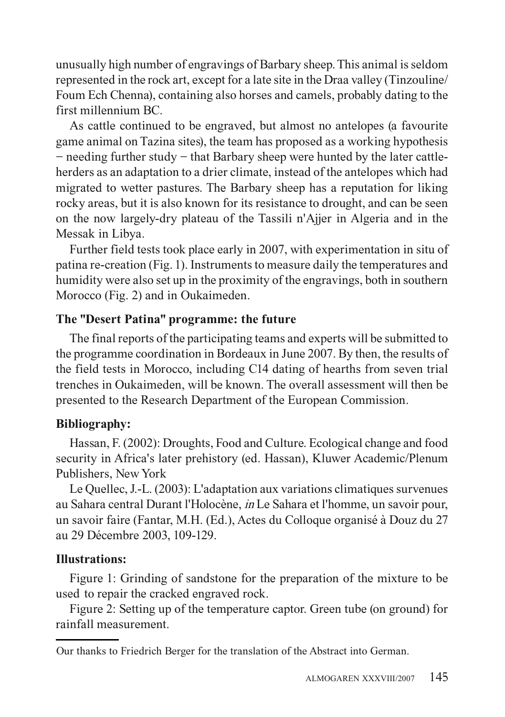unusually high number of engravings of Barbary sheep. This animal is seldom represented in the rock art, except for a late site in the Draa valley (Tinzouline/ Foum Ech Chenna), containing also horses and camels, probably dating to the first millennium BC.

As cattle continued to be engraved, but almost no antelopes (a favourite game animal on Tazina sites), the team has proposed as a working hypothesis – needing further study – that Barbary sheep were hunted by the later cattleherders as an adaptation to a drier climate, instead of the antelopes which had migrated to wetter pastures. The Barbary sheep has a reputation for liking rocky areas, but it is also known for its resistance to drought, and can be seen on the now largely-dry plateau of the Tassili n'Ajjer in Algeria and in the Messak in Libya.

Further field tests took place early in 2007, with experimentation in situ of patina re-creation (Fig. 1). Instruments to measure daily the temperatures and humidity were also set up in the proximity of the engravings, both in southern Morocco (Fig. 2) and in Oukaimeden.

## **The "Desert Patina" programme: the future**

The final reports of the participating teams and experts will be submitted to the programme coordination in Bordeaux in June 2007. By then, the results of the field tests in Morocco, including C14 dating of hearths from seven trial trenches in Oukaimeden, will be known. The overall assessment will then be presented to the Research Department of the European Commission.

# **Bibliography:**

Hassan, F. (2002): Droughts, Food and Culture. Ecological change and food security in Africa's later prehistory (ed. Hassan), Kluwer Academic/Plenum Publishers, New York

Le Quellec, J.-L. (2003): L'adaptation aux variations climatiques survenues au Sahara central Durant l'Holocène, *in* Le Sahara et l'homme, un savoir pour, un savoir faire (Fantar, M.H. (Ed.), Actes du Colloque organisé à Douz du 27 au 29 Décembre 2003, 109-129.

## **Illustrations:**

Figure 1: Grinding of sandstone for the preparation of the mixture to be used to repair the cracked engraved rock.

Figure 2: Setting up of the temperature captor. Green tube (on ground) for rainfall measurement.

Our thanks to Friedrich Berger for the translation of the Abstract into German.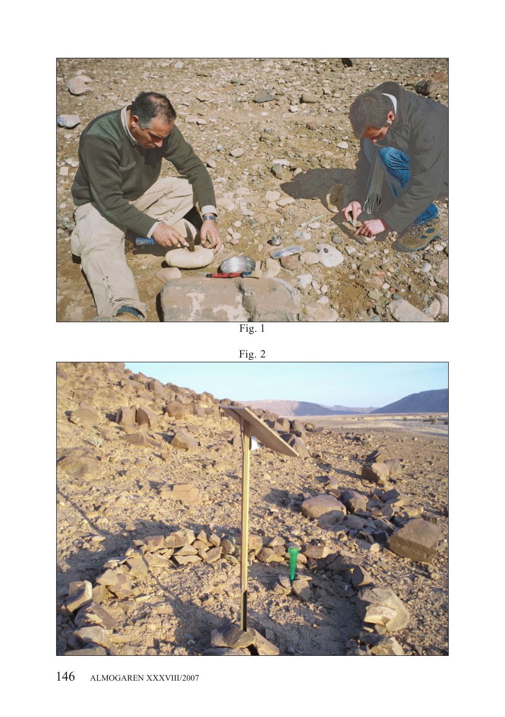

Fig. 1

Fig. 2